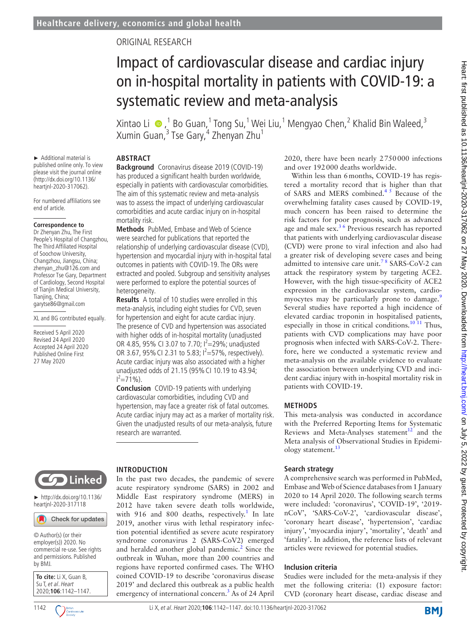## Original research

# Impact of cardiovascular disease and cardiac injury on in-hospital mortality in patients with COVID-19: a systematic review and meta-analysis

XintaoLi $\bullet$ ,  $^1$  Bo Guan,  $^1$  Tong Su,  $^1$  Wei Liu,  $^1$  Mengyao Chen,  $^2$  Khalid Bin Waleed,  $^3$ Xumin Guan,<sup>3</sup> Tse Gary,<sup>4</sup> Zhenyan Zhu<sup>1</sup>

► Additional material is published online only. To view please visit the journal online (http://dx.doi.org/10.1136/ heartjnl-2020-317062).

For numbered affiliations see end of article.

#### **Correspondence to**

Dr Zhenyan Zhu, The First People's Hospital of Changzhou, The Third Affiliated Hospital of Soochow University, Changzhou, Jiangsu, China; zhenyan\_zhu@126.com and Professor Tse Gary, Department of Cardiology, Second Hospital of Tianjin Medical University, Tianjing, China; garytse86@gmail.com

XL and BG contributed equally.

Received 5 April 2020 Revised 24 April 2020 Accepted 24 April 2020 Published Online First 27 May 2020

## **Abstract**

**Background** Coronavirus disease 2019 (COVID-19) has produced a significant health burden worldwide, especially in patients with cardiovascular comorbidities. The aim of this systematic review and meta-analysis was to assess the impact of underlying cardiovascular comorbidities and acute cardiac injury on in-hospital mortality risk.

**Methods** PubMed, Embase and Web of Science were searched for publications that reported the relationship of underlying cardiovascular disease (CVD), hypertension and myocardial injury with in-hospital fatal outcomes in patients with COVID-19. The ORs were extracted and pooled. Subgroup and sensitivity analyses were performed to explore the potential sources of heterogeneity.

**Results** A total of 10 studies were enrolled in this meta-analysis, including eight studies for CVD, seven for hypertension and eight for acute cardiac injury. The presence of CVD and hypertension was associated with higher odds of in-hospital mortality (unadjusted OR 4.85, 95% CI 3.07 to 7.70;  $I^2 = 29\%$ ; unadjusted OR 3.67, 95% CI 2.31 to 5.83;  $I^2 = 57\%$ , respectively). Acute cardiac injury was also associated with a higher unadjusted odds of 21.15 (95% CI 10.19 to 43.94;  $I^2 = 71\%$ ).

**Conclusion** COVID-19 patients with underlying cardiovascular comorbidities, including CVD and hypertension, may face a greater risk of fatal outcomes. Acute cardiac injury may act as a marker of mortality risk. Given the unadjusted results of our meta-analysis, future research are warranted.



► [http://dx.doi.org/10.1136/](http://dx.doi.org/10.1136/heartjnl-2020-317118) [heartjnl-2020-317118](http://dx.doi.org/10.1136/heartjnl-2020-317118)

### Check for updates

© Author(s) (or their employer(s)) 2020. No commercial re-use. See rights and permissions. Published by BMJ.

| <b>To cite:</b> Li X, Guan B,<br>Su T, <i>et al. Heart</i><br>2020; <b>106</b> :1142–1147. |
|--------------------------------------------------------------------------------------------|
|                                                                                            |
|                                                                                            |



**Introduction** In the past two decades, the pandemic of severe

acute respiratory syndrome (SARS) in 2002 and Middle East respiratory syndrome (MERS) in 2012 have taken severe death tolls worldwide, with 9[1](#page-5-0)6 and 800 deaths, respectively.<sup>1</sup> In late 2019, another virus with lethal respiratory infection potential identified as severe acute respiratory syndrome coronavirus 2 (SARS-CoV2) emerged and heralded another global pandemic.<sup>[2](#page-5-1)</sup> Since the outbreak in Wuhan, more than 200 countries and regions have reported confirmed cases. The WHO coined COVID-19 to describe 'coronavirus disease 2019' and declared this outbreak as a public health emergency of international concern.<sup>3</sup> As of 24 April 2020, there have been nearly 2750000 infections and over 192000 deaths worldwide.

Within less than 6months, COVID-19 has registered a mortality record that is higher than that of SARS and MERS combined.[4 5](#page-5-3) Because of the overwhelming fatality cases caused by COVID-19, much concern has been raised to determine the risk factors for poor prognosis, such as advanced age and male sex.<sup>36</sup> Previous research has reported that patients with underlying cardiovascular disease (CVD) were prone to viral infection and also had a greater risk of developing severe cases and being admitted to intensive care unit.<sup>78</sup> SARS-CoV-2 can attack the respiratory system by targeting ACE2. However, with the high tissue-specificity of ACE2 expression in the cardiovascular system, cardio-myocytes may be particularly prone to damage.<sup>[9](#page-5-5)</sup> Several studies have reported a high incidence of elevated cardiac troponin in hospitalised patients, especially in those in critical conditions.<sup>[10 11](#page-5-6)</sup> Thus, patients with CVD complications may have poor prognosis when infected with SARS-CoV-2. Therefore, here we conducted a systematic review and meta-analysis on the available evidence to evaluate the association between underlying CVD and incident cardiac injury with in-hospital mortality risk in patients with COVID-19.

### **Methods**

This meta-analysis was conducted in accordance with the Preferred Reporting Items for Systematic Reviews and Meta-Analyses statement<sup>12</sup> and the Meta analysis of Observational Studies in Epidemi-ology statement.<sup>[13](#page-5-8)</sup>

## **Search strategy**

A comprehensive search was performed in PubMed, Embase and Web of Science databases from 1 January 2020 to 14 April 2020. The following search terms were included: 'coronavirus', 'COVID-19', '2019 nCoV', 'SARS-CoV-2', 'cardiovascular disease', 'coronary heart disease', 'hypertension', 'cardiac injury', 'myocardia injury', 'mortality', 'death' and 'fatality'. In addition, the reference lists of relevant articles were reviewed for potential studies.

## **Inclusion criteria**

Studies were included for the meta-analysis if they met the following criteria: (1) exposure factor: CVD (coronary heart disease, cardiac disease and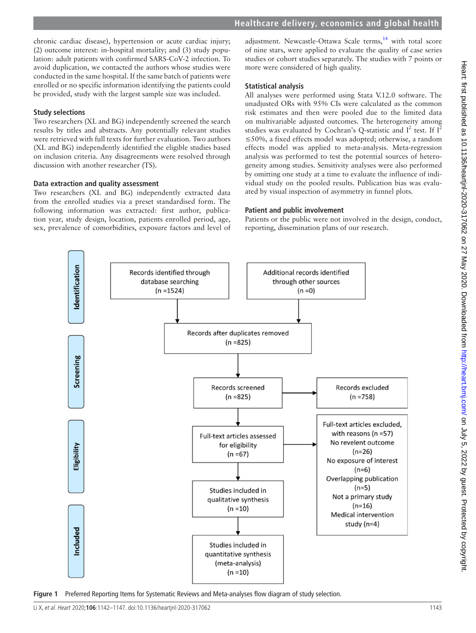chronic cardiac disease), hypertension or acute cardiac injury; (2) outcome interest: in-hospital mortality; and (3) study population: adult patients with confirmed SARS-CoV-2 infection. To avoid duplication, we contacted the authors whose studies were conducted in the same hospital. If the same batch of patients were enrolled or no specific information identifying the patients could be provided, study with the largest sample size was included.

# **Study selections**

Two researchers (XL and BG) independently screened the search results by titles and abstracts. Any potentially relevant studies were retrieved with full texts for further evaluation. Two authors (XL and BG) independently identified the eligible studies based on inclusion criteria. Any disagreements were resolved through discussion with another researcher (TS).

# **Data extraction and quality assessment**

Two researchers (XL and BG) independently extracted data from the enrolled studies via a preset standardised form. The following information was extracted: first author, publication year, study design, location, patients enrolled period, age, sex, prevalence of comorbidities, exposure factors and level of

adjustment. Newcastle-Ottawa Scale terms,<sup>[14](#page-5-9)</sup> with total score of nine stars, were applied to evaluate the quality of case series studies or cohort studies separately. The studies with 7 points or more were considered of high quality.

# **Statistical analysis**

All analyses were performed using Stata V.12.0 software. The unadjusted ORs with 95% CIs were calculated as the common risk estimates and then were pooled due to the limited data on multivariable adjusted outcomes. The heterogeneity among studies was evaluated by Cochran's Q-statistic and  $I^2$  test. If  $I^2$ ≤50%, a fixed effects model was adopted; otherwise, a random effects model was applied to meta-analysis. Meta-regression analysis was performed to test the potential sources of heterogeneity among studies. Sensitivity analyses were also performed by omitting one study at a time to evaluate the influence of individual study on the pooled results. Publication bias was evaluated by visual inspection of asymmetry in funnel plots.

# **Patient and public involvement**

Patients or the public were not involved in the design, conduct, reporting, dissemination plans of our research.



<span id="page-1-0"></span>**Figure 1** Preferred Reporting Items for Systematic Reviews and Meta-analyses flow diagram of study selection.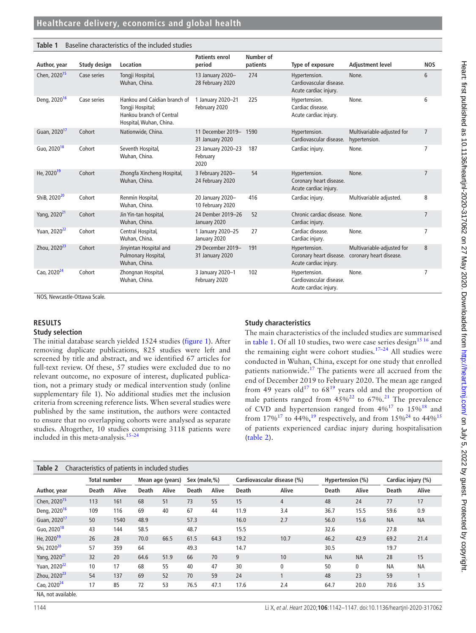| Author, year             | Study design | Location                                                                                                | <b>Patients enrol</b><br>period          | Number of<br>patients | Type of exposure                                                  | <b>Adjustment level</b>                               | <b>NOS</b>     |
|--------------------------|--------------|---------------------------------------------------------------------------------------------------------|------------------------------------------|-----------------------|-------------------------------------------------------------------|-------------------------------------------------------|----------------|
| Chen, 2020 <sup>15</sup> | Case series  | Tongji Hospital,<br>Wuhan, China.                                                                       | 13 January 2020-<br>28 February 2020     | 274                   | Hypertension.<br>Cardiovascular disease.<br>Acute cardiac injury. | None.                                                 | 6              |
| Deng, 2020 <sup>16</sup> | Case series  | Hankou and Caidian branch of<br>Tongji Hospital;<br>Hankou branch of Central<br>Hospital, Wuhan, China. | 1 January 2020-21<br>February 2020       | 225                   | Hypertension.<br>Cardiac disease.<br>Acute cardiac injury.        | None.                                                 | 6              |
| Guan, 2020 <sup>17</sup> | Cohort       | Nationwide, China.                                                                                      | 11 December 2019-1590<br>31 January 2020 |                       | Hypertension.<br>Cardiovascular disease.                          | Multivariable-adjusted for<br>hypertension.           | $\overline{7}$ |
| Guo, 2020 <sup>18</sup>  | Cohort       | Seventh Hospital,<br>Wuhan, China.                                                                      | 23 January 2020-23<br>February<br>2020   | 187                   | Cardiac injury.                                                   | None.                                                 | 7              |
| He, 2020 <sup>19</sup>   | Cohort       | Zhongfa Xincheng Hospital,<br>Wuhan, China.                                                             | 3 February 2020-<br>24 February 2020     | 54                    | Hypertension.<br>Coronary heart disease.<br>Acute cardiac injury. | None.                                                 | $\overline{7}$ |
| ShiB, 2020 <sup>20</sup> | Cohort       | Renmin Hospital,<br>Wuhan, China.                                                                       | 20 January 2020-<br>10 February 2020     | 416                   | Cardiac injury.                                                   | Multivariable adjusted.                               | 8              |
| Yang, 2020 <sup>21</sup> | Cohort       | Jin Yin-tan hospital,<br>Wuhan, China.                                                                  | 24 Dember 2019-26<br>January 2020        | 52                    | Chronic cardiac disease. None.<br>Cardiac injury.                 |                                                       | $\overline{7}$ |
| Yuan, 2020 <sup>22</sup> | Cohort       | Central Hospital,<br>Wuhan, China.                                                                      | 1 January 2020-25<br>January 2020        | 27                    | Cardiac disease.<br>Cardiac injury.                               | None.                                                 | $\overline{7}$ |
| Zhou, 2020 <sup>23</sup> | Cohort       | Jinyintan Hospital and<br>Pulmonary Hospital,<br>Wuhan, China.                                          | 29 December 2019-<br>31 January 2020     | 191                   | Hypertension.<br>Coronary heart disease.<br>Acute cardiac injury. | Multivariable-adjusted for<br>coronary heart disease. | 8              |
| Cao, 2020 <sup>24</sup>  | Cohort       | Zhongnan Hospital,<br>Wuhan, China.                                                                     | 3 January 2020-1<br>February 2020        | 102                   | Hypertension.<br>Cardiovascular disease.<br>Acute cardiac injury. | None.                                                 | 7              |

#### <span id="page-2-0"></span>**Table 1** Baseline characteristics of the included studies

NOS, Newcastle-Ottawa Scale.

### **Results**

## **Study selection**

The initial database search yielded 1524 studies [\(figure](#page-1-0) 1). After removing duplicate publications, 825 studies were left and screened by title and abstract, and we identified 67 articles for full-text review. Of these, 57 studies were excluded due to no relevant outcome, no exposure of interest, duplicated publication, not a primary study or medical intervention study [\(online](https://dx.doi.org/10.1136/heartjnl-2020-317062)  [supplementary file 1\)](https://dx.doi.org/10.1136/heartjnl-2020-317062). No additional studies met the inclusion criteria from screening reference lists. When several studies were published by the same institution, the authors were contacted to ensure that no overlapping cohorts were analysed as separate studies. Altogether, 10 studies comprising 3118 patients were included in this meta-analysis. $15-24$ 

## **Study characteristics**

The main characteristics of the included studies are summarised in [table](#page-2-0) 1. Of all 10 studies, two were case series design $^{15}$ <sup>16</sup> and the remaining eight were cohort studies.[17–24](#page-5-12) All studies were conducted in Wuhan, China, except for one study that enrolled patients nationwide.<sup>[17](#page-5-12)</sup> The patients were all accrued from the end of December 2019 to February 2020. The mean age ranged from 49 years old<sup>[17](#page-5-12)</sup> to  $68^{19}$  years old and the proportion of male patients ranged from  $45\%^{22}$  to  $67\%$ .<sup>21</sup> The prevalence of CVD and hypertension ranged from  $4\frac{1}{3}$  to  $15\frac{1}{6}$  and from  $17\%^{17}$  $17\%^{17}$  to  $44\%$ ,<sup>19</sup> respectively, and from  $15\%^{24}$  $15\%^{24}$  to  $44\%^{15}$ of patients experienced cardiac injury during hospitalisation ([table](#page-2-1) 2).

<span id="page-2-1"></span>

| Table 2<br>Characteristics of patients in included studies |                     |       |                  |       |              |       |                            |       |                  |              |                    |           |
|------------------------------------------------------------|---------------------|-------|------------------|-------|--------------|-------|----------------------------|-------|------------------|--------------|--------------------|-----------|
|                                                            | <b>Total number</b> |       | Mean age (years) |       | Sex (male,%) |       | Cardiovascular disease (%) |       | Hypertension (%) |              | Cardiac injury (%) |           |
| Author, year                                               | <b>Death</b>        | Alive | Death            | Alive | Death        | Alive | Death                      | Alive | Death            | Alive        | Death              | Alive     |
| Chen. 2020 <sup>15</sup>                                   | 113                 | 161   | 68               | 51    | 73           | 55    | 15                         | 4     | 48               | 24           | 77                 | 17        |
| Deng, 2020 <sup>16</sup>                                   | 109                 | 116   | 69               | 40    | 67           | 44    | 11.9                       | 3.4   | 36.7             | 15.5         | 59.6               | 0.9       |
| Guan, 2020 <sup>17</sup>                                   | 50                  | 1540  | 48.9             |       | 57.3         |       | 16.0                       | 2.7   | 56.0             | 15.6         | <b>NA</b>          | <b>NA</b> |
| Guo, 2020 <sup>18</sup>                                    | 43                  | 144   | 58.5             |       | 48.7         |       | 15.5                       |       | 32.6             |              | 27.8               |           |
| He, 2020 <sup>19</sup>                                     | 26                  | 28    | 70.0             | 66.5  | 61.5         | 64.3  | 19.2                       | 10.7  | 46.2             | 42.9         | 69.2               | 21.4      |
| Shi, 2020 <sup>20</sup>                                    | 57                  | 359   | 64               |       | 49.3         |       | 14.7                       |       | 30.5             |              | 19.7               |           |
| Yang, 2020 <sup>21</sup>                                   | 32                  | 20    | 64.6             | 51.9  | 66           | 70    | 9                          | 10    | <b>NA</b>        | <b>NA</b>    | 28                 | 15        |
| Yuan, 2020 <sup>22</sup>                                   | 10                  | 17    | 68               | 55    | 40           | 47    | 30                         | 0     | 50               | $\mathbf{0}$ | <b>NA</b>          | <b>NA</b> |
| Zhou, 2020 <sup>23</sup>                                   | 54                  | 137   | 69               | 52    | 70           | 59    | 24                         |       | 48               | 23           | 59                 |           |
| Cao. 2020 <sup>24</sup>                                    | 17                  | 85    | 72               | 53    | 76.5         | 47.1  | 17.6                       | 2.4   | 64.7             | 20.0         | 70.6               | 3.5       |

NA, not available.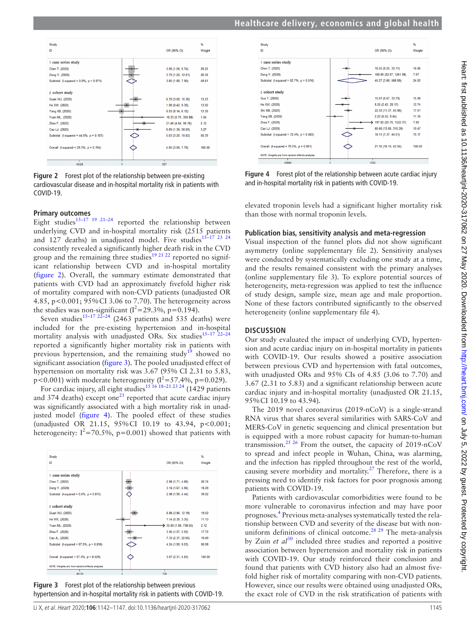## **Healthcare delivery, economics and global health**



<span id="page-3-0"></span>**Figure 2** Forest plot of the relationship between pre-existing cardiovascular disease and in-hospital mortality risk in patients with COVID-19.

#### **Primary outcomes**

Eight studies<sup>15-17</sup> <sup>19</sup> <sup>21-24</sup> reported the relationship between underlying CVD and in-hospital mortality risk (2515 patients and 127 deaths) in unadjusted model. Five studies<sup>15-17 23 24</sup> consistently revealed a significantly higher death risk in the CVD group and the remaining three studies<sup>[19 21 22](#page-5-14)</sup> reported no significant relationship between CVD and in-hospital mortality ([figure](#page-3-0) 2). Overall, the summary estimate demonstrated that patients with CVD had an approximately fivefold higher risk of mortality compared with non-CVD patients (unadjusted OR 4.85, p<0.001; 95%CI 3.06 to 7.70). The heterogeneity across the studies was non-significant ( $I^2$ =29.3%, p=0.194).

Seven studies<sup>15-17 22-24</sup> (2463 patients and 535 deaths) were included for the pre-existing hypertension and in-hospital mortality analysis with unadjusted ORs. Six studies<sup>15-17 22-24</sup> reported a significantly higher mortality risk in patients with previous hypertension, and the remaining study<sup>19</sup> showed no significant association ([figure](#page-3-1) 3). The pooled unadjusted effect of hypertension on mortality risk was 3.67 (95% CI 2.31 to 5.83,  $p<0.001$ ) with moderate heterogeneity ( $I^2 = 57.4\%$ ,  $p=0.029$ ).

For cardiac injury, all eight studies<sup>15 16 18–21 23 24</sup> (1429 patients) and 374 deaths) except one $21$  reported that acute cardiac injury was significantly associated with a high mortality risk in unadjusted model [\(figure](#page-3-2) 4). The pooled effect of these studies (unadjusted OR 21.15, 95%CI 10.19 to 43.94, p<0.001; heterogeneity:  $I^2 = 70.5\%$ , p=0.001) showed that patients with



<span id="page-3-1"></span>**Figure 3** Forest plot of the relationship between previous hypertension and in-hospital mortality risk in patients with COVID-19.



<span id="page-3-2"></span>**Figure 4** Forest plot of the relationship between acute cardiac injury and in-hospital mortality risk in patients with COVID-19.

elevated troponin levels had a significant higher mortality risk than those with normal troponin levels.

#### **Publication bias, sensitivity analysis and meta-regression**

Visual inspection of the funnel plots did not show significant asymmetry [\(online supplementary file 2](https://dx.doi.org/10.1136/heartjnl-2020-317062)). Sensitivity analyses were conducted by systematically excluding one study at a time, and the results remained consistent with the primary analyses ([online supplementary file 3](https://dx.doi.org/10.1136/heartjnl-2020-317062)). To explore potential sources of heterogeneity, meta-regression was applied to test the influence of study design, sample size, mean age and male proportion. None of these factors contributed significantly to the observed heterogeneity ([online supplementary file 4](https://dx.doi.org/10.1136/heartjnl-2020-317062)).

#### **Discussion**

Our study evaluated the impact of underlying CVD, hypertension and acute cardiac injury on in-hospital mortality in patients with COVID-19. Our results showed a positive association between previous CVD and hypertension with fatal outcomes, with unadjusted ORs and 95% CIs of 4.85 (3.06 to 7.70) and 3.67 (2.31 to 5.83) and a significant relationship between acute cardiac injury and in-hospital mortality (unadjusted OR 21.15, 95%CI 10.19 to 43.94).

The 2019 novel coronavirus (2019-nCoV) is a single-strand RNA virus that shares several similarities with SARS-CoV and MERS-CoV in genetic sequencing and clinical presentation but is equipped with a more robust capacity for human-to-human transmission[.25 26](#page-5-20) From the outset, the capacity of 2019-nCoV to spread and infect people in Wuhan, China, was alarming, and the infection has rippled throughout the rest of the world, causing severe morbidity and mortality. $27$  Therefore, there is a pressing need to identify risk factors for poor prognosis among patients with COVID-19.

Patients with cardiovascular comorbidities were found to be more vulnerable to coronavirus infection and may have poor prognoses.<sup>[4](#page-5-3)</sup> Previous meta-analyses systematically tested the relationship between CVD and severity of the disease but with nonuniform definitions of clinical outcome.<sup>28 29</sup> The meta-analysis by Zuin *et al*<sup>30</sup> included three studies and reported a positive association between hypertension and mortality risk in patients with COVID-19. Our study reinforced their conclusion and found that patients with CVD history also had an almost fivefold higher risk of mortality comparing with non-CVD patients. However, since our results were obtained using unadjusted ORs, the exact role of CVD in the risk stratification of patients with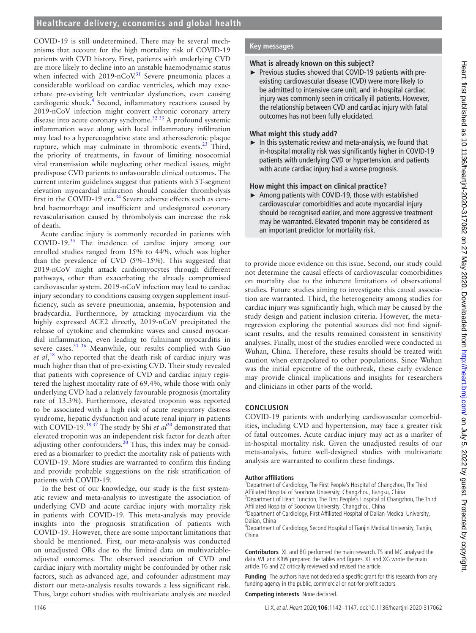COVID-19 is still undetermined. There may be several mechanisms that account for the high mortality risk of COVID-19 patients with CVD history. First, patients with underlying CVD are more likely to decline into an unstable haemodynamic status when infected with  $2019 \text{-} n \text{CoV}^3$  Severe pneumonia places a considerable workload on cardiac ventricles, which may exacerbate pre-existing left ventricular dysfunction, even causing cardiogenic shock.<sup>[4](#page-5-3)</sup> Second, inflammatory reactions caused by 2019-nCoV infection might convert chronic coronary artery disease into acute coronary syndrome.<sup>32 33</sup> A profound systemic inflammation wave along with local inflammatory infiltration may lead to a hypercoagulative state and atherosclerotic plaque rupture, which may culminate in thrombotic events. $^{23}$  Third, the priority of treatments, in favour of limiting nosocomial viral transmission while neglecting other medical issues, might predispose CVD patients to unfavourable clinical outcomes. The current interim guidelines suggest that patients with ST-segment elevation myocardial infarction should consider thrombolysis first in the COVID-19 era.<sup>[34](#page-5-26)</sup> Severe adverse effects such as cerebral haemorrhage and insufficient and undesignated coronary revascularisation caused by thrombolysis can increase the risk of death.

Acute cardiac injury is commonly recorded in patients with COVID-19. $35$  The incidence of cardiac injury among our enrolled studies ranged from 15% to 44%, which was higher than the prevalence of CVD (5%–15%). This suggested that 2019-nCoV might attack cardiomyocytes through different pathways, other than exacerbating the already compromised cardiovascular system. 2019-nCoV infection may lead to cardiac injury secondary to conditions causing oxygen supplement insufficiency, such as severe pneumonia, anaemia, hypotension and bradycardia. Furthermore, by attacking myocardium via the highly expressed ACE2 directly, 2019-nCoV precipitated the release of cytokine and chemokine waves and caused myocardial inflammation, even leading to fulminant myocarditis in severe cases.<sup>[31 36](#page-5-24)</sup> Meanwhile, our results complied with Guo *et al*, [18](#page-5-13) who reported that the death risk of cardiac injury was much higher than that of pre-existing CVD. Their study revealed that patients with copresence of CVD and cardiac injury registered the highest mortality rate of 69.4%, while those with only underlying CVD had a relatively favourable prognosis (mortality rate of 13.3%). Furthermore, elevated troponin was reported to be associated with a high risk of acute respiratory distress syndrome, hepatic dysfunction and acute renal injury in patients with COVID-19.<sup>18 37</sup> The study by Shi *et al*<sup>20</sup> demonstrated that elevated troponin was an independent risk factor for death after adjusting other confounders. $20$  Thus, this index may be considered as a biomarker to predict the mortality risk of patients with COVID-19. More studies are warranted to confirm this finding and provide probable suggestions on the risk stratification of patients with COVID-19.

To the best of our knowledge, our study is the first systematic review and meta-analysis to investigate the association of underlying CVD and acute cardiac injury with mortality risk in patients with COVID-19. This meta-analysis may provide insights into the prognosis stratification of patients with COVID-19. However, there are some important limitations that should be mentioned. First, our meta-analysis was conducted on unadjusted ORs due to the limited data on multivariableadjusted outcomes. The observed association of CVD and cardiac injury with mortality might be confounded by other risk factors, such as advanced age, and cofounder adjustment may distort our meta-analysis results towards a less significant risk. Thus, large cohort studies with multivariate analysis are needed

# **Key messages**

## **What is already known on this subject?**

► Previous studies showed that COVID-19 patients with preexisting cardiovascular disease (CVD) were more likely to be admitted to intensive care unit, and in-hospital cardiac injury was commonly seen in critically ill patients. However, the relationship between CVD and cardiac injury with fatal outcomes has not been fully elucidated.

# **What might this study add?**

 $\blacktriangleright$  In this systematic review and meta-analysis, we found that in-hospital morality risk was significantly higher in COVID-19 patients with underlying CVD or hypertension, and patients with acute cardiac injury had a worse prognosis.

# **How might this impact on clinical practice?**

► Among patients with COVID-19, those with established cardiovascular comorbidities and acute myocardial injury should be recognised earlier, and more aggressive treatment may be warranted. Elevated troponin may be considered as an important predictor for mortality risk.

to provide more evidence on this issue. Second, our study could not determine the causal effects of cardiovascular comorbidities on mortality due to the inherent limitations of observational studies. Future studies aiming to investigate this causal association are warranted. Third, the heterogeneity among studies for cardiac injury was significantly high, which may be caused by the study design and patient inclusion criteria. However, the metaregression exploring the potential sources did not find significant results, and the results remained consistent in sensitivity analyses. Finally, most of the studies enrolled were conducted in Wuhan, China. Therefore, these results should be treated with caution when extrapolated to other populations. Since Wuhan was the initial epicentre of the outbreak, these early evidence may provide clinical implications and insights for researchers and clinicians in other parts of the world.

# **Conclusion**

COVID-19 patients with underlying cardiovascular comorbidities, including CVD and hypertension, may face a greater risk of fatal outcomes. Acute cardiac injury may act as a marker of in-hospital mortality risk. Given the unadjusted results of our meta-analysis, future well-designed studies with multivariate analysis are warranted to confirm these findings.

# **Author affiliations**

<sup>1</sup>Department of Cardiology, The First People's Hospital of Changzhou, The Third Affiliated Hospital of Soochow University, Changzhou, Jiangsu, China <sup>2</sup> <sup>2</sup>Department of Heart Function, The First People's Hospital of Changzhou, The Third Affiliated Hospital of Soochow University, Changzhou, China <sup>3</sup>

<sup>3</sup>Department of Cardiology, First Affiliated Hospital of Dalian Medical University, Dalian, China

<sup>4</sup>Department of Cardiology, Second Hospital of Tianjin Medical University, Tianjin, China

**Contributors** XL and BG performed the main research. TS and MC analysed the data. WL and KBW prepared the tables and figures. XL and XG wrote the main article. TG and ZZ critically reviewed and revised the article.

**Funding** The authors have not declared a specific grant for this research from any funding agency in the public, commercial or not-for-profit sectors.

**Competing interests** None declared.